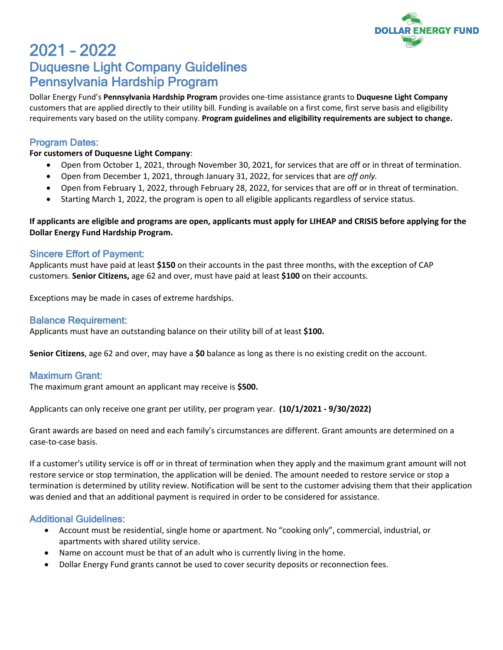

# 2021 – 2022 Duquesne Light Company Guidelines Pennsylvania Hardship Program

Dollar Energy Fund's **Pennsylvania Hardship Program** provides one-time assistance grants to **Duquesne Light Company** customers that are applied directly to their utility bill. Funding is available on a first come, first serve basis and eligibility requirements vary based on the utility company. **Program guidelines and eligibility requirements are subject to change.**

# Program Dates:

#### **For customers of Duquesne Light Company**:

- Open from October 1, 2021, through November 30, 2021, for services that are off or in threat of termination.
- Open from December 1, 2021, through January 31, 2022, for services that are *off only.*
- Open from February 1, 2022, through February 28, 2022, for services that are off or in threat of termination.
- Starting March 1, 2022, the program is open to all eligible applicants regardless of service status.

#### **If applicants are eligible and programs are open, applicants must apply for LIHEAP and CRISIS before applying for the Dollar Energy Fund Hardship Program.**

## Sincere Effort of Payment:

Applicants must have paid at least **\$150** on their accounts in the past three months, with the exception of CAP customers. **Senior Citizens,** age 62 and over, must have paid at least **\$100** on their accounts.

Exceptions may be made in cases of extreme hardships.

#### Balance Requirement:

Applicants must have an outstanding balance on their utility bill of at least **\$100.**

**Senior Citizens**, age 62 and over, may have a **\$0** balance as long as there is no existing credit on the account.

## Maximum Grant:

The maximum grant amount an applicant may receive is **\$500.**

Applicants can only receive one grant per utility, per program year. **(10/1/2021 - 9/30/2022)**

Grant awards are based on need and each family's circumstances are different. Grant amounts are determined on a case-to-case basis.

If a customer's utility service is off or in threat of termination when they apply and the maximum grant amount will not restore service or stop termination, the application will be denied. The amount needed to restore service or stop a termination is determined by utility review. Notification will be sent to the customer advising them that their application was denied and that an additional payment is required in order to be considered for assistance.

## Additional Guidelines:

- Account must be residential, single home or apartment. No "cooking only", commercial, industrial, or apartments with shared utility service.
- Name on account must be that of an adult who is currently living in the home.
- Dollar Energy Fund grants cannot be used to cover security deposits or reconnection fees.